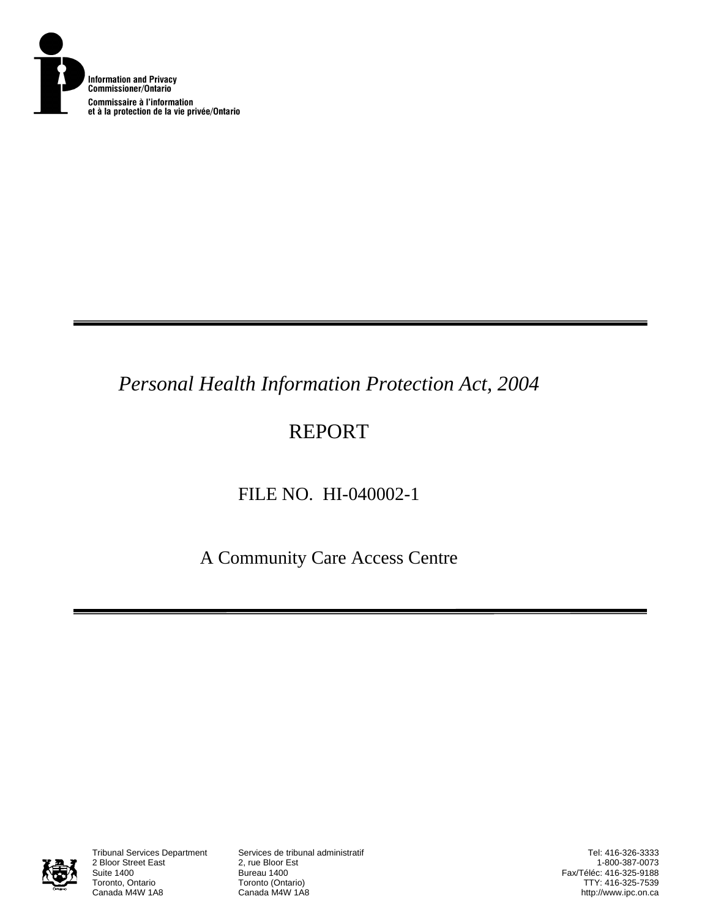

# *Personal Health Information Protection Act, 2004*

# REPORT

# FILE NO. HI-040002-1

A Community Care Access Centre



2 Bloor Street East<br>Suite 1400 Suite 1400<br>Toronto, Ontario **Bureau 1400**<br>Toronto (Onta Toronto, Ontario **Toronto (Ontario)**<br>Canada M4W 1A8 **Canada M4W 1A8** 

Tribunal Services Department Services de tribunal administratif

Tel: 416-326-3333 1-800-387-0073 Fax/Téléc: 416-325-9188 TTY: 416-325-7539 http://www.ipc.on.ca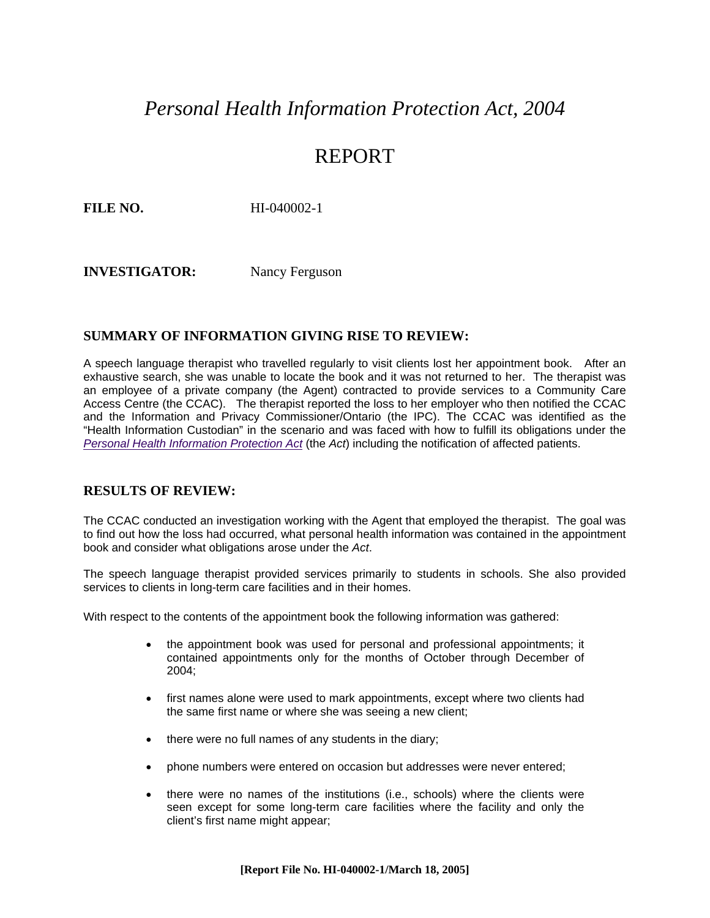### *Personal Health Information Protection Act, 2004*

### REPORT

**FILE NO.** HI-040002-1

**INVESTIGATOR:** Nancy Ferguson

#### **SUMMARY OF INFORMATION GIVING RISE TO REVIEW:**

A speech language therapist who travelled regularly to visit clients lost her appointment book. After an exhaustive search, she was unable to locate the book and it was not returned to her. The therapist was an employee of a private company (the Agent) contracted to provide services to a Community Care Access Centre (the CCAC). The therapist reported the loss to her employer who then notified the CCAC and the Information and Privacy Commissioner/Ontario (the IPC). The CCAC was identified as the "Health Information Custodian" in the scenario and was faced with how to fulfill its obligations under the *[Personal Health Information Protection Act](http://www.e-laws.gov.on.ca/DBLaws/Statutes/English/04p03_e.htm)* (the *Act*) including the notification of affected patients.

#### **RESULTS OF REVIEW:**

The CCAC conducted an investigation working with the Agent that employed the therapist. The goal was to find out how the loss had occurred, what personal health information was contained in the appointment book and consider what obligations arose under the *Act*.

The speech language therapist provided services primarily to students in schools. She also provided services to clients in long-term care facilities and in their homes.

With respect to the contents of the appointment book the following information was gathered:

- the appointment book was used for personal and professional appointments; it contained appointments only for the months of October through December of 2004;
- first names alone were used to mark appointments, except where two clients had the same first name or where she was seeing a new client;
- there were no full names of any students in the diary;
- phone numbers were entered on occasion but addresses were never entered;
- there were no names of the institutions (i.e., schools) where the clients were seen except for some long-term care facilities where the facility and only the client's first name might appear;